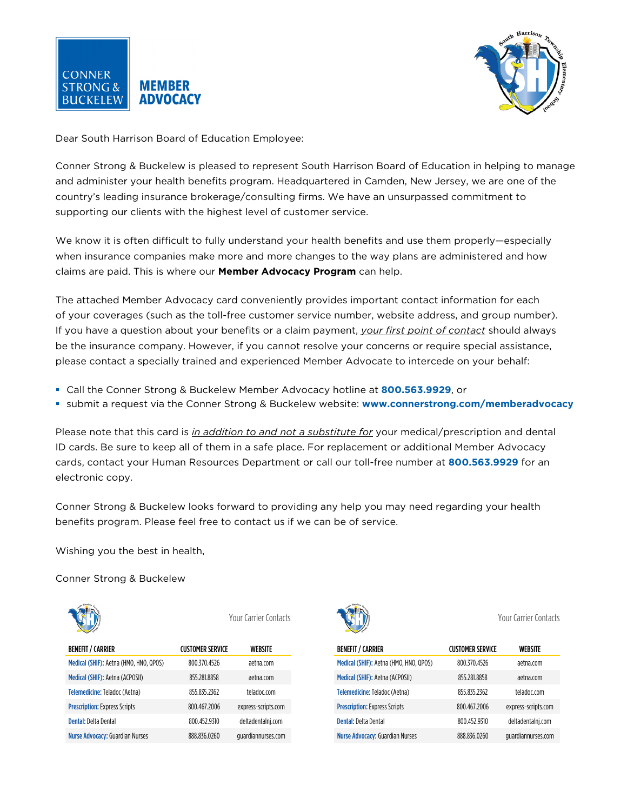



Dear South Harrison Board of Education Employee:

Conner Strong & Buckelew is pleased to represent South Harrison Board of Education in helping to manage and administer your health benefits program. Headquartered in Camden, New Jersey, we are one of the country's leading insurance brokerage/consulting firms. We have an unsurpassed commitment to supporting our clients with the highest level of customer service.

We know it is often difficult to fully understand your health benefits and use them properly—especially when insurance companies make more and more changes to the way plans are administered and how claims are paid. This is where our **Member Advocacy Program** can help.

The attached Member Advocacy card conveniently provides important contact information for each of your coverages (such as the toll-free customer service number, website address, and group number). If you have a question about your benefits or a claim payment, *your first point of contact* should always be the insurance company. However, if you cannot resolve your concerns or require special assistance, please contact a specially trained and experienced Member Advocate to intercede on your behalf:

- Call the Conner Strong & Buckelew Member Advocacy hotline at **800.563.9929**, or
- submit a request via the Conner Strong & Buckelew website: **www.connerstrong.com/memberadvocacy**

Please note that this card is *in addition to and not a substitute for* your medical/prescription and dental ID cards. Be sure to keep all of them in a safe place. For replacement or additional Member Advocacy cards, contact your Human Resources Department or call our toll-free number at **800.563.9929** for an electronic copy.

Conner Strong & Buckelew looks forward to providing any help you may need regarding your health benefits program. Please feel free to contact us if we can be of service.

Wishing you the best in health,

Conner Strong & Buckelew



| <b>BENEFIT / CARRIER</b>               | <b>CUSTOMER SERVICE</b> | WEBSITE             |
|----------------------------------------|-------------------------|---------------------|
| Medical (SHIF): Aetna (HMO, HNO, QPOS) | 800.370.4526            | aetna.com           |
| Medical (SHIF): Aetna (ACPOSII)        | 855.281.8858            | aetna.com           |
| Telemedicine: Teladoc (Aetna)          | 855.835.2362            | teladoc.com         |
| <b>Prescription: Express Scripts</b>   | 800.467.2006            | express-scripts.com |
| Dental: Delta Dental                   | 800.452.9310            | deltadentalni.com   |
| <b>Nurse Advocacy: Guardian Nurses</b> | 888.836.0260            | quardiannurses.com  |



Your Carrier Contacts Your Carrier Contacts

| <b>BENEFIT / CARRIER</b>               | <b>CUSTOMER SERVICE</b> | WEBSITE             |
|----------------------------------------|-------------------------|---------------------|
| Medical (SHIF): Aetna (HMO, HNO, QPOS) | 800.370.4526            | aetna.com           |
| Medical (SHIF): Aetna (ACPOSII)        | 855.281.8858            | aetna.com           |
| Telemedicine: Teladoc (Aetna)          | 855.835.2362            | teladoc.com         |
| <b>Prescription: Express Scripts</b>   | 800.467.2006            | express-scripts.com |
| Dental: Delta Dental                   | 800.452.9310            | deltadentalni.com   |
| <b>Nurse Advocacy: Guardian Nurses</b> | 888.836.0260            | quardiannurses.com  |